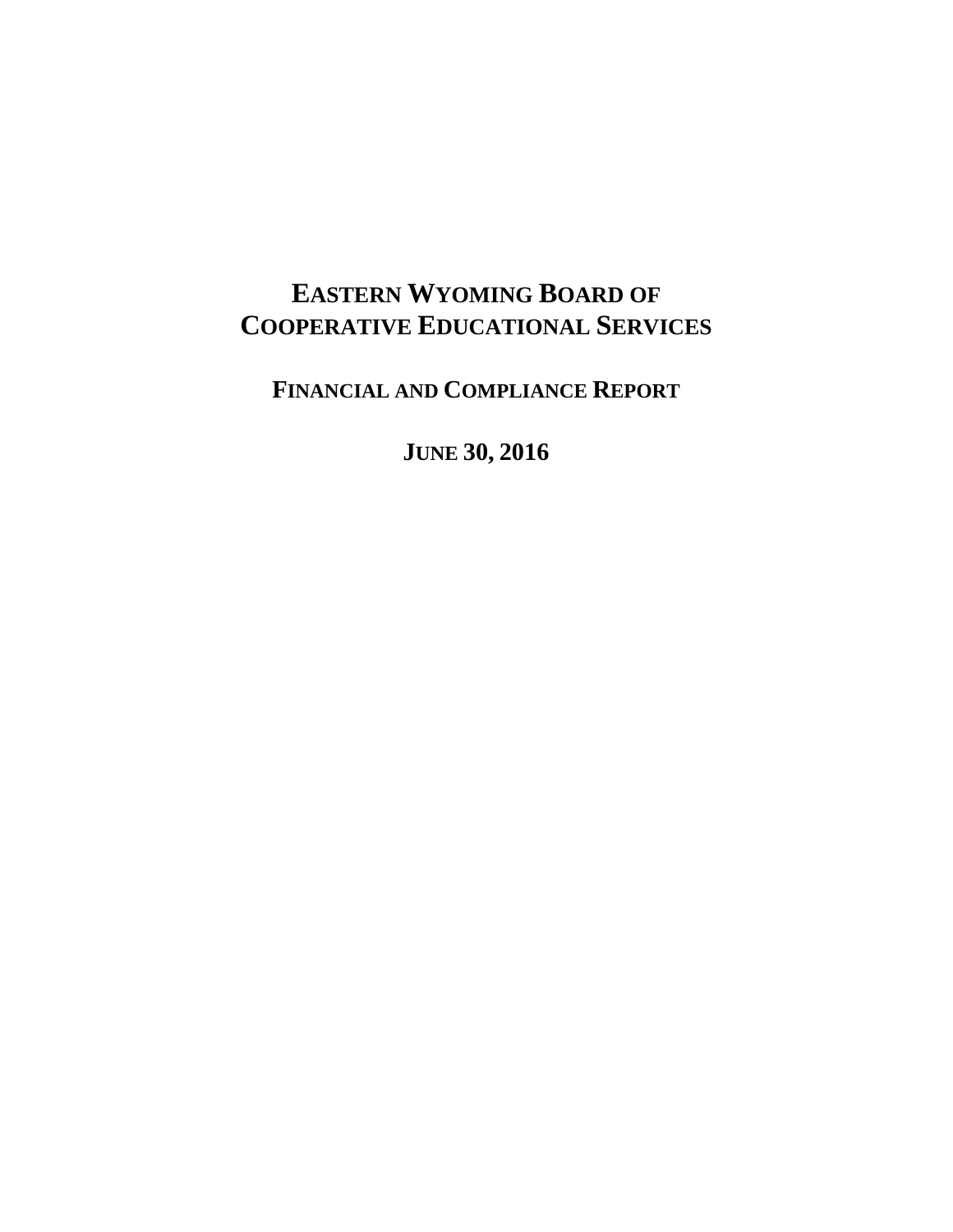# **EASTERN WYOMING BOARD OF COOPERATIVE EDUCATIONAL SERVICES**

**FINANCIAL AND COMPLIANCE REPORT**

**JUNE 30, 2016**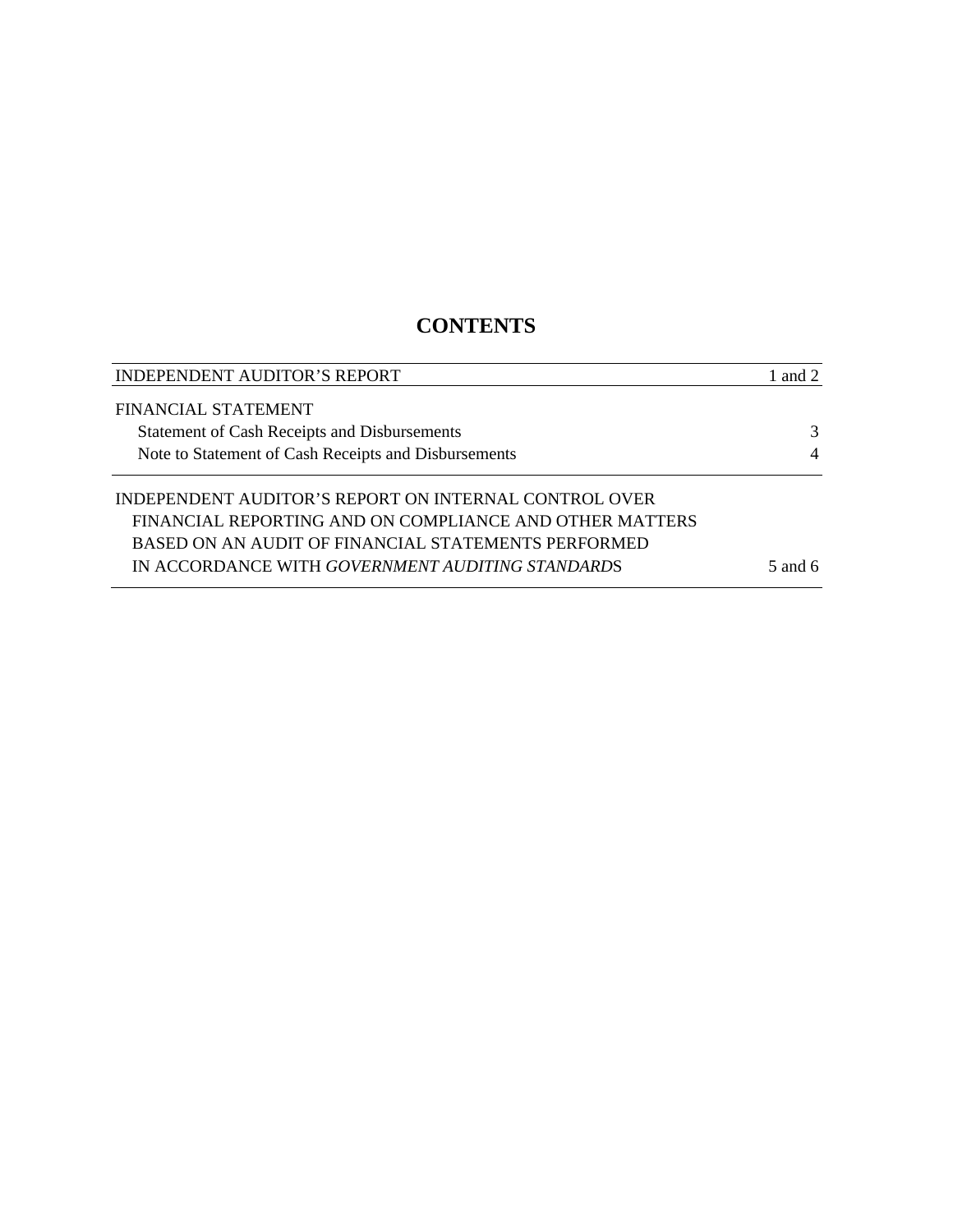## **CONTENTS**

| INDEPENDENT AUDITOR'S REPORT                            | 1 and 2        |
|---------------------------------------------------------|----------------|
| FINANCIAL STATEMENT                                     |                |
| Statement of Cash Receipts and Disbursements            | 3              |
| Note to Statement of Cash Receipts and Disbursements    | $\overline{4}$ |
| INDEPENDENT AUDITOR'S REPORT ON INTERNAL CONTROL OVER   |                |
| FINANCIAL REPORTING AND ON COMPLIANCE AND OTHER MATTERS |                |
| BASED ON AN AUDIT OF FINANCIAL STATEMENTS PERFORMED     |                |
| IN ACCORDANCE WITH GOVERNMENT AUDITING STANDARDS        | 5 and 6        |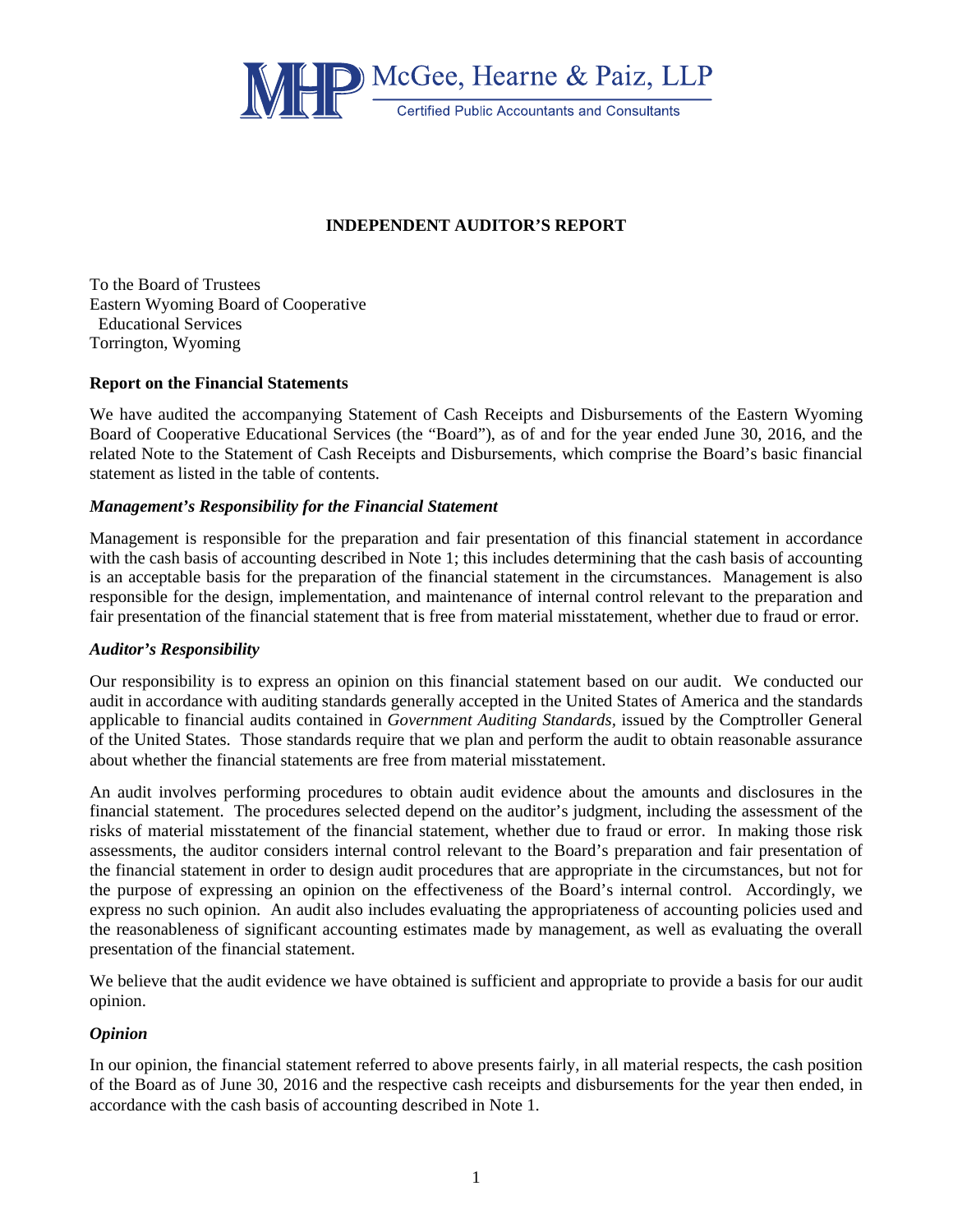

## **INDEPENDENT AUDITOR'S REPORT**

To the Board of Trustees Eastern Wyoming Board of Cooperative Educational Services Torrington, Wyoming

### **Report on the Financial Statements**

We have audited the accompanying Statement of Cash Receipts and Disbursements of the Eastern Wyoming Board of Cooperative Educational Services (the "Board"), as of and for the year ended June 30, 2016, and the related Note to the Statement of Cash Receipts and Disbursements, which comprise the Board's basic financial statement as listed in the table of contents.

### *Management's Responsibility for the Financial Statement*

Management is responsible for the preparation and fair presentation of this financial statement in accordance with the cash basis of accounting described in Note 1; this includes determining that the cash basis of accounting is an acceptable basis for the preparation of the financial statement in the circumstances. Management is also responsible for the design, implementation, and maintenance of internal control relevant to the preparation and fair presentation of the financial statement that is free from material misstatement, whether due to fraud or error.

#### *Auditor's Responsibility*

Our responsibility is to express an opinion on this financial statement based on our audit. We conducted our audit in accordance with auditing standards generally accepted in the United States of America and the standards applicable to financial audits contained in *Government Auditing Standards,* issued by the Comptroller General of the United States. Those standards require that we plan and perform the audit to obtain reasonable assurance about whether the financial statements are free from material misstatement.

An audit involves performing procedures to obtain audit evidence about the amounts and disclosures in the financial statement. The procedures selected depend on the auditor's judgment, including the assessment of the risks of material misstatement of the financial statement, whether due to fraud or error. In making those risk assessments, the auditor considers internal control relevant to the Board's preparation and fair presentation of the financial statement in order to design audit procedures that are appropriate in the circumstances, but not for the purpose of expressing an opinion on the effectiveness of the Board's internal control. Accordingly, we express no such opinion. An audit also includes evaluating the appropriateness of accounting policies used and the reasonableness of significant accounting estimates made by management, as well as evaluating the overall presentation of the financial statement.

We believe that the audit evidence we have obtained is sufficient and appropriate to provide a basis for our audit opinion.

## *Opinion*

In our opinion, the financial statement referred to above presents fairly, in all material respects, the cash position of the Board as of June 30, 2016 and the respective cash receipts and disbursements for the year then ended, in accordance with the cash basis of accounting described in Note 1.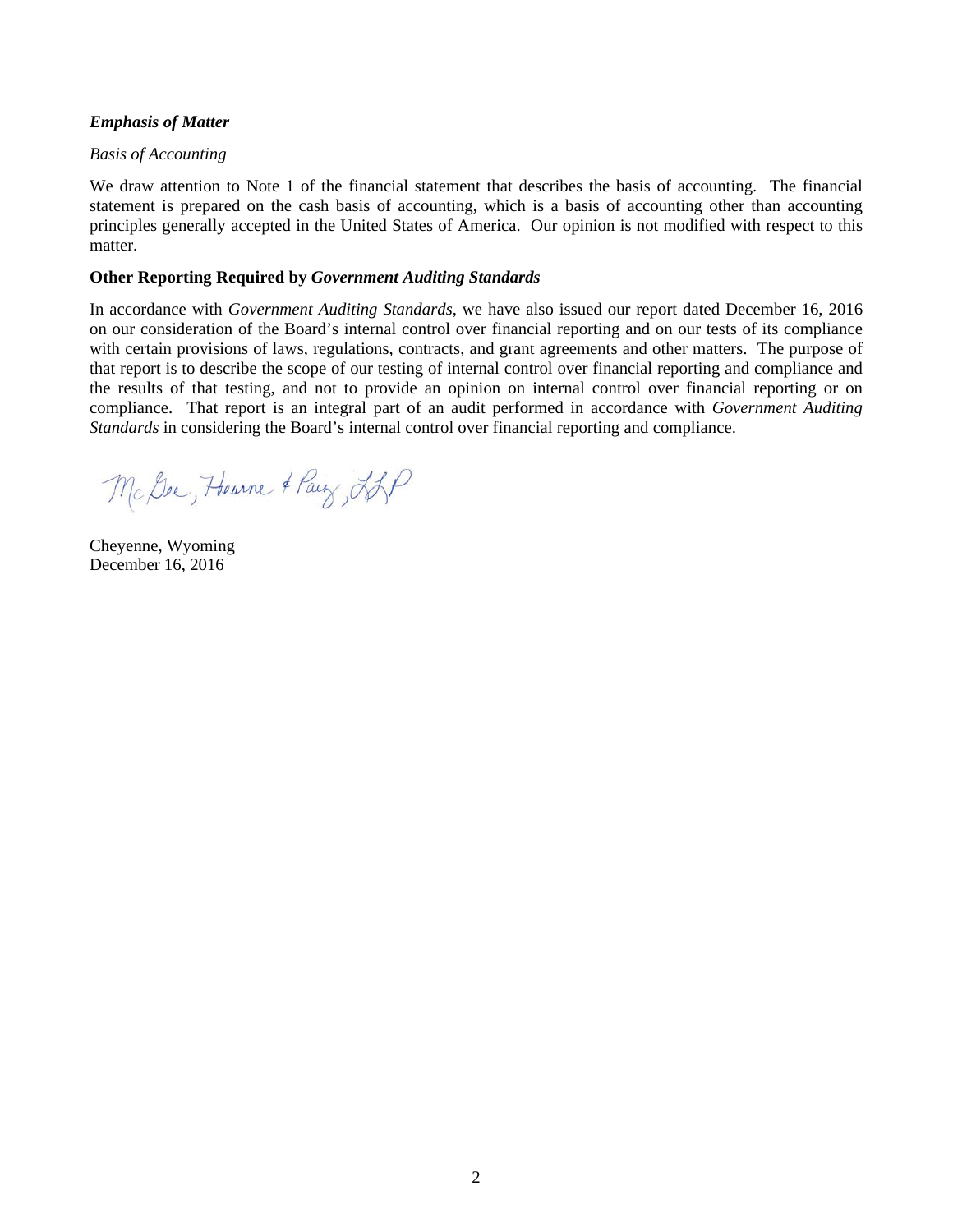## *Emphasis of Matter*

## *Basis of Accounting*

We draw attention to Note 1 of the financial statement that describes the basis of accounting. The financial statement is prepared on the cash basis of accounting, which is a basis of accounting other than accounting principles generally accepted in the United States of America. Our opinion is not modified with respect to this matter.

## **Other Reporting Required by** *Government Auditing Standards*

In accordance with *Government Auditing Standards*, we have also issued our report dated December 16, 2016 on our consideration of the Board's internal control over financial reporting and on our tests of its compliance with certain provisions of laws, regulations, contracts, and grant agreements and other matters. The purpose of that report is to describe the scope of our testing of internal control over financial reporting and compliance and the results of that testing, and not to provide an opinion on internal control over financial reporting or on compliance. That report is an integral part of an audit performed in accordance with *Government Auditing Standards* in considering the Board's internal control over financial reporting and compliance.

Mc Dee, Hearne & Pair LAP

Cheyenne, Wyoming December 16, 2016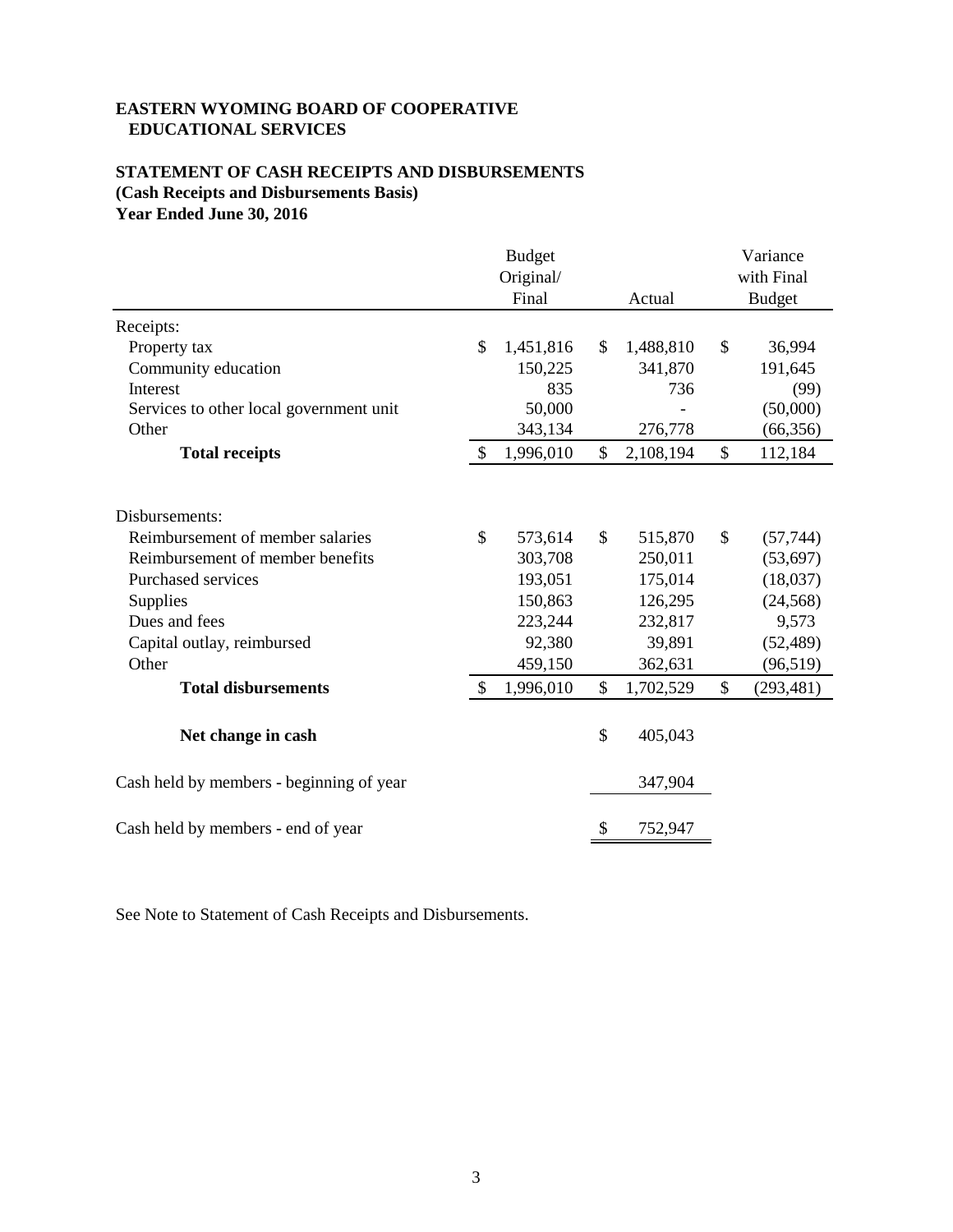## **EASTERN WYOMING BOARD OF COOPERATIVE EDUCATIONAL SERVICES**

## **STATEMENT OF CASH RECEIPTS AND DISBURSEMENTS (Cash Receipts and Disbursements Basis) Year Ended June 30, 2016**

|                                          |               | <b>Budget</b><br>Original/<br>Final | Actual          |               | Variance<br>with Final<br><b>Budget</b> |
|------------------------------------------|---------------|-------------------------------------|-----------------|---------------|-----------------------------------------|
| Receipts:                                |               |                                     |                 |               |                                         |
| Property tax                             | $\mathbb{S}$  | 1,451,816                           | \$<br>1,488,810 | \$            | 36,994                                  |
| Community education                      |               | 150,225                             | 341,870         |               | 191,645                                 |
| Interest                                 |               | 835                                 | 736             |               | (99)                                    |
| Services to other local government unit  |               | 50,000                              |                 |               | (50,000)                                |
| Other                                    |               | 343,134                             | 276,778         |               | (66, 356)                               |
| <b>Total receipts</b>                    | \$            | 1,996,010                           | \$<br>2,108,194 | \$            | 112,184                                 |
| Disbursements:                           |               |                                     |                 |               |                                         |
| Reimbursement of member salaries         | $\mathcal{S}$ | 573,614                             | \$<br>515,870   | $\mathcal{S}$ | (57, 744)                               |
| Reimbursement of member benefits         |               | 303,708                             | 250,011         |               | (53, 697)                               |
| <b>Purchased services</b>                |               | 193,051                             | 175,014         |               | (18,037)                                |
| Supplies                                 |               | 150,863                             | 126,295         |               | (24, 568)                               |
| Dues and fees                            |               | 223,244                             | 232,817         |               | 9,573                                   |
| Capital outlay, reimbursed               |               | 92,380                              | 39,891          |               | (52, 489)                               |
| Other                                    |               | 459,150                             | 362,631         |               | (96, 519)                               |
| <b>Total disbursements</b>               | $\mathcal{S}$ | 1,996,010                           | \$<br>1,702,529 | \$            | (293, 481)                              |
| Net change in cash                       |               |                                     | \$<br>405,043   |               |                                         |
| Cash held by members - beginning of year |               |                                     | 347,904         |               |                                         |
| Cash held by members - end of year       |               |                                     | \$<br>752,947   |               |                                         |

See Note to Statement of Cash Receipts and Disbursements.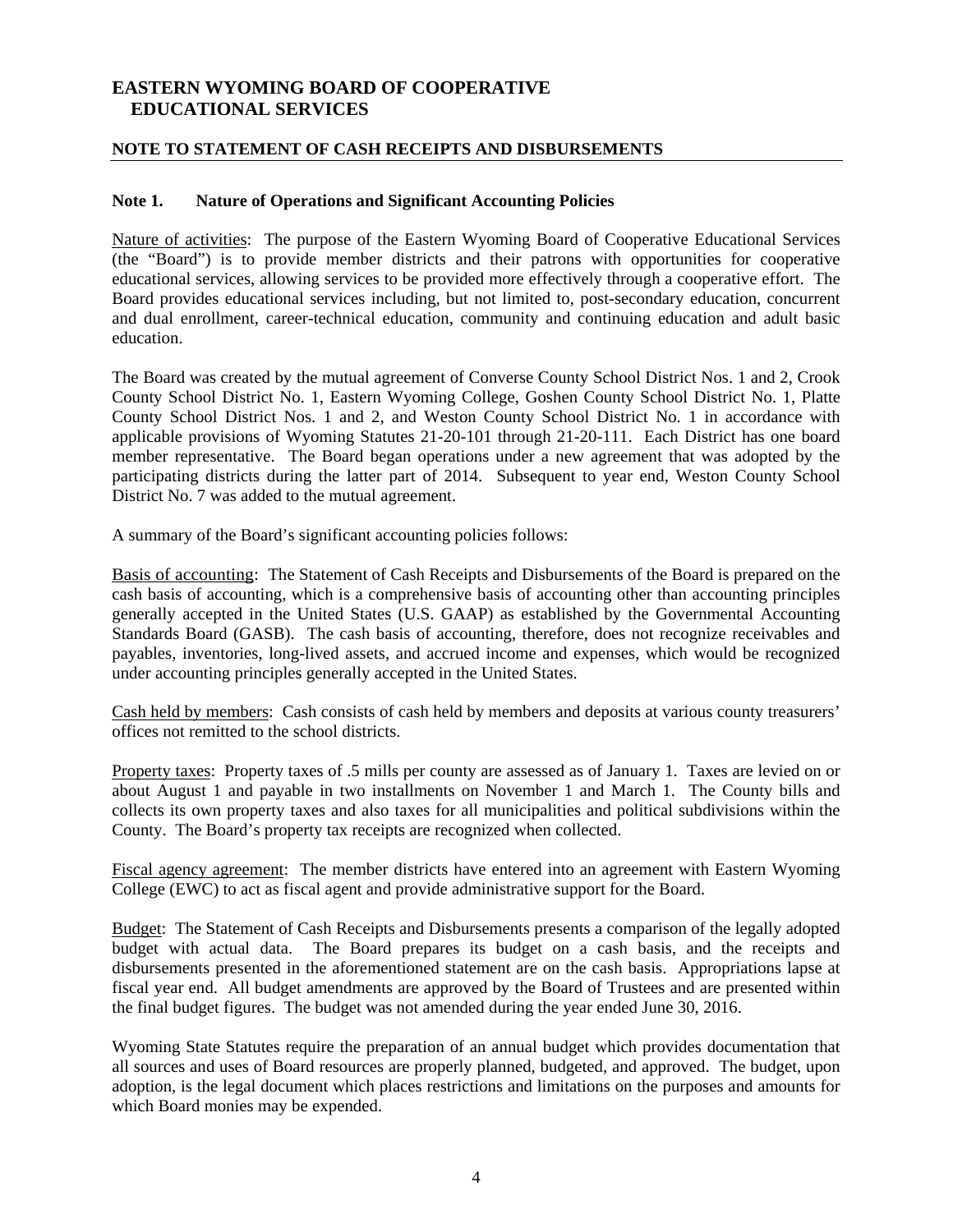## **EASTERN WYOMING BOARD OF COOPERATIVE EDUCATIONAL SERVICES**

## **NOTE TO STATEMENT OF CASH RECEIPTS AND DISBURSEMENTS**

## **Note 1. Nature of Operations and Significant Accounting Policies**

Nature of activities: The purpose of the Eastern Wyoming Board of Cooperative Educational Services (the "Board") is to provide member districts and their patrons with opportunities for cooperative educational services, allowing services to be provided more effectively through a cooperative effort. The Board provides educational services including, but not limited to, post-secondary education, concurrent and dual enrollment, career-technical education, community and continuing education and adult basic education.

The Board was created by the mutual agreement of Converse County School District Nos. 1 and 2, Crook County School District No. 1, Eastern Wyoming College, Goshen County School District No. 1, Platte County School District Nos. 1 and 2, and Weston County School District No. 1 in accordance with applicable provisions of Wyoming Statutes 21-20-101 through 21-20-111. Each District has one board member representative. The Board began operations under a new agreement that was adopted by the participating districts during the latter part of 2014. Subsequent to year end, Weston County School District No. 7 was added to the mutual agreement.

A summary of the Board's significant accounting policies follows:

Basis of accounting: The Statement of Cash Receipts and Disbursements of the Board is prepared on the cash basis of accounting, which is a comprehensive basis of accounting other than accounting principles generally accepted in the United States (U.S. GAAP) as established by the Governmental Accounting Standards Board (GASB). The cash basis of accounting, therefore, does not recognize receivables and payables, inventories, long-lived assets, and accrued income and expenses, which would be recognized under accounting principles generally accepted in the United States.

Cash held by members: Cash consists of cash held by members and deposits at various county treasurers' offices not remitted to the school districts.

Property taxes: Property taxes of .5 mills per county are assessed as of January 1. Taxes are levied on or about August 1 and payable in two installments on November 1 and March 1. The County bills and collects its own property taxes and also taxes for all municipalities and political subdivisions within the County. The Board's property tax receipts are recognized when collected.

Fiscal agency agreement: The member districts have entered into an agreement with Eastern Wyoming College (EWC) to act as fiscal agent and provide administrative support for the Board.

Budget: The Statement of Cash Receipts and Disbursements presents a comparison of the legally adopted budget with actual data. The Board prepares its budget on a cash basis, and the receipts and disbursements presented in the aforementioned statement are on the cash basis. Appropriations lapse at fiscal year end. All budget amendments are approved by the Board of Trustees and are presented within the final budget figures. The budget was not amended during the year ended June 30, 2016.

Wyoming State Statutes require the preparation of an annual budget which provides documentation that all sources and uses of Board resources are properly planned, budgeted, and approved. The budget, upon adoption, is the legal document which places restrictions and limitations on the purposes and amounts for which Board monies may be expended.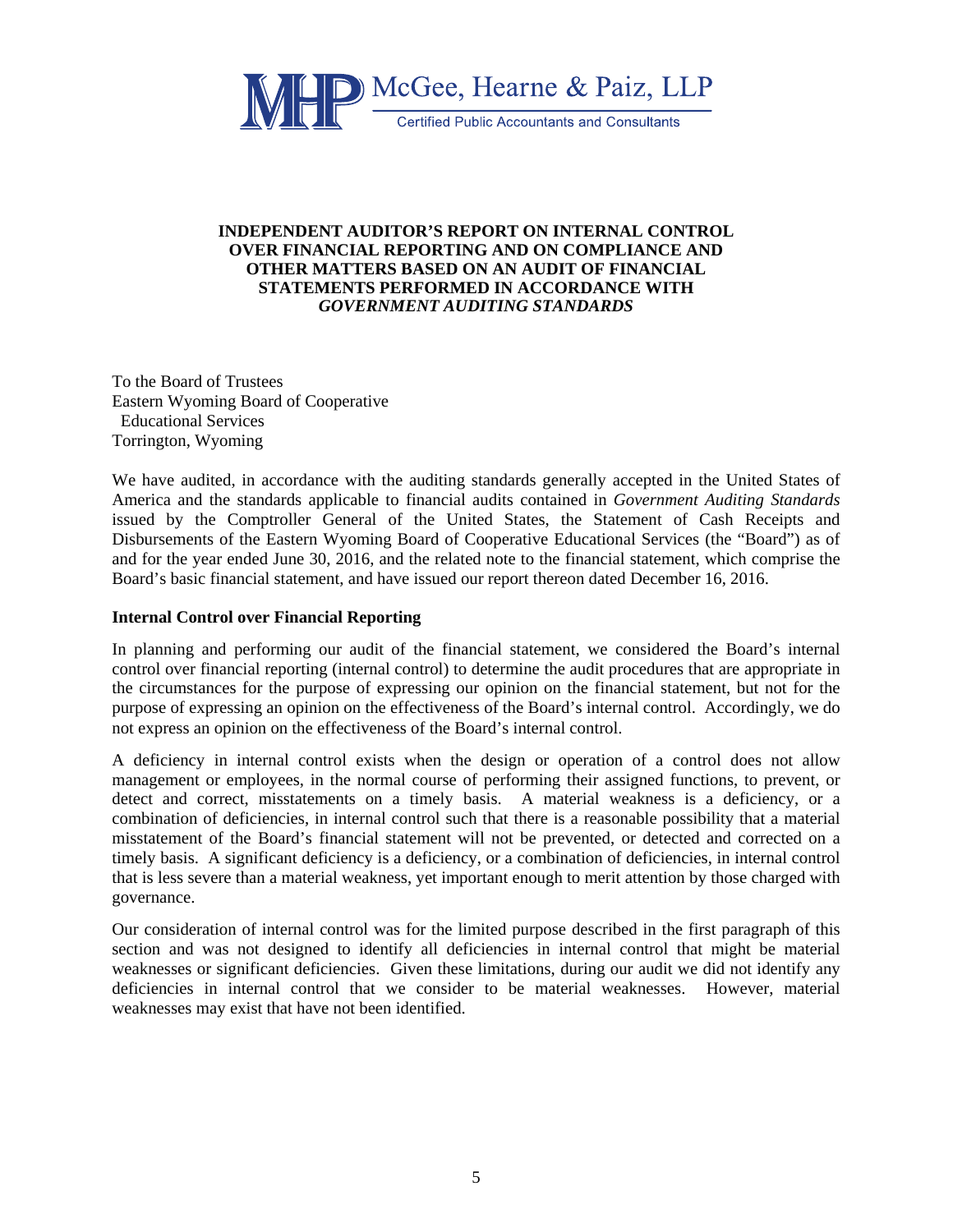

## **INDEPENDENT AUDITOR'S REPORT ON INTERNAL CONTROL OVER FINANCIAL REPORTING AND ON COMPLIANCE AND OTHER MATTERS BASED ON AN AUDIT OF FINANCIAL STATEMENTS PERFORMED IN ACCORDANCE WITH**  *GOVERNMENT AUDITING STANDARDS*

To the Board of Trustees Eastern Wyoming Board of Cooperative Educational Services Torrington, Wyoming

We have audited, in accordance with the auditing standards generally accepted in the United States of America and the standards applicable to financial audits contained in *Government Auditing Standards*  issued by the Comptroller General of the United States, the Statement of Cash Receipts and Disbursements of the Eastern Wyoming Board of Cooperative Educational Services (the "Board") as of and for the year ended June 30, 2016, and the related note to the financial statement, which comprise the Board's basic financial statement, and have issued our report thereon dated December 16, 2016.

## **Internal Control over Financial Reporting**

In planning and performing our audit of the financial statement, we considered the Board's internal control over financial reporting (internal control) to determine the audit procedures that are appropriate in the circumstances for the purpose of expressing our opinion on the financial statement, but not for the purpose of expressing an opinion on the effectiveness of the Board's internal control. Accordingly, we do not express an opinion on the effectiveness of the Board's internal control.

A deficiency in internal control exists when the design or operation of a control does not allow management or employees, in the normal course of performing their assigned functions, to prevent, or detect and correct, misstatements on a timely basis. A material weakness is a deficiency, or a combination of deficiencies, in internal control such that there is a reasonable possibility that a material misstatement of the Board's financial statement will not be prevented, or detected and corrected on a timely basis. A significant deficiency is a deficiency, or a combination of deficiencies, in internal control that is less severe than a material weakness, yet important enough to merit attention by those charged with governance.

Our consideration of internal control was for the limited purpose described in the first paragraph of this section and was not designed to identify all deficiencies in internal control that might be material weaknesses or significant deficiencies. Given these limitations, during our audit we did not identify any deficiencies in internal control that we consider to be material weaknesses. However, material weaknesses may exist that have not been identified.